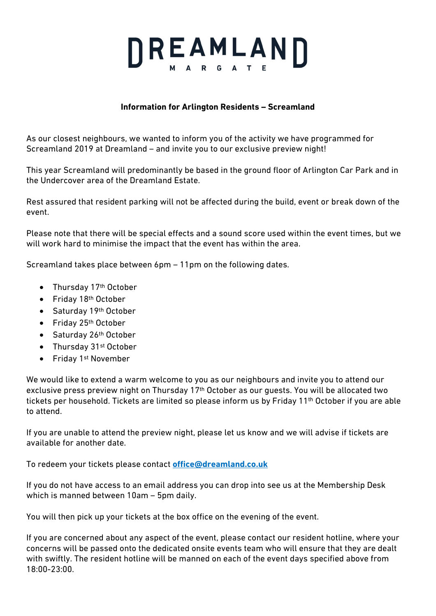## DREAMLAND

## **Information for Arlington Residents – Screamland**

As our closest neighbours, we wanted to inform you of the activity we have programmed for Screamland 2019 at Dreamland – and invite you to our exclusive preview night!

This year Screamland will predominantly be based in the ground floor of Arlington Car Park and in the Undercover area of the Dreamland Estate.

Rest assured that resident parking will not be affected during the build, event or break down of the event.

Please note that there will be special effects and a sound score used within the event times, but we will work hard to minimise the impact that the event has within the area.

Screamland takes place between 6pm – 11pm on the following dates.

- Thursday 17<sup>th</sup> October
- Friday 18th October
- Saturday 19th October
- Friday 25<sup>th</sup> October
- Saturday 26th October
- Thursday 31st October
- Friday 1st November

We would like to extend a warm welcome to you as our neighbours and invite you to attend our exclusive press preview night on Thursday 17th October as our guests. You will be allocated two tickets per household. Tickets are limited so please inform us by Friday 11th October if you are able to attend.

If you are unable to attend the preview night, please let us know and we will advise if tickets are available for another date.

To redeem your tickets please contact **office@dreamland.co.uk**

If you do not have access to an email address you can drop into see us at the Membership Desk which is manned between 10am – 5pm daily.

You will then pick up your tickets at the box office on the evening of the event.

If you are concerned about any aspect of the event, please contact our resident hotline, where your concerns will be passed onto the dedicated onsite events team who will ensure that they are dealt with swiftly. The resident hotline will be manned on each of the event days specified above from 18:00-23:00.